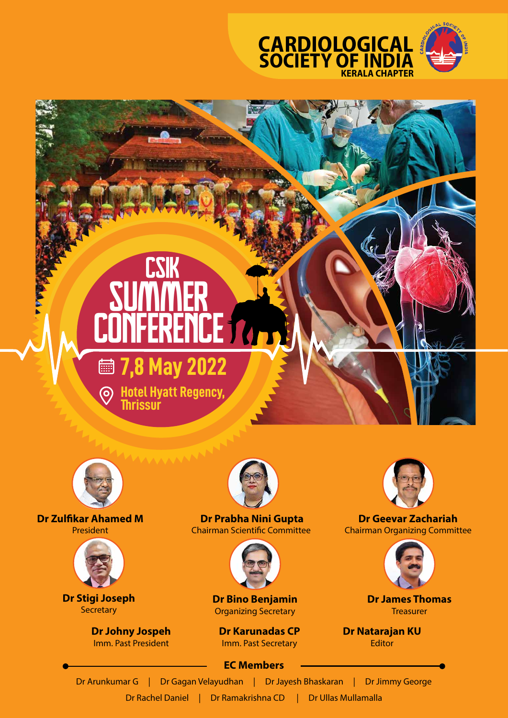

## **7,8 May 2022** csik SUMMER CONFERENCE

**Hotel Hyatt Regency, Thrissur**



**Dr Zulfikar Ahamed M** President



**Dr Stigi Joseph Secretary** 

> **Dr Johny Jospeh** Imm. Past President



**Dr Prabha Nini Gupta** Chairman Scientific Committee



**Dr Bino Benjamin** Organizing Secretary

**Dr Karunadas CP** Imm. Past Secretary



**Dr Geevar Zachariah**  Chairman Organizing Committee



**Dr James Thomas** Treasurer

**Dr Natarajan KU Editor** 

#### **EC Members** Dr Arunkumar G | Dr Gagan Velayudhan | Dr Jayesh Bhaskaran | Dr Jimmy George Dr Rachel Daniel | Dr Ramakrishna CD | Dr Ullas Mullamalla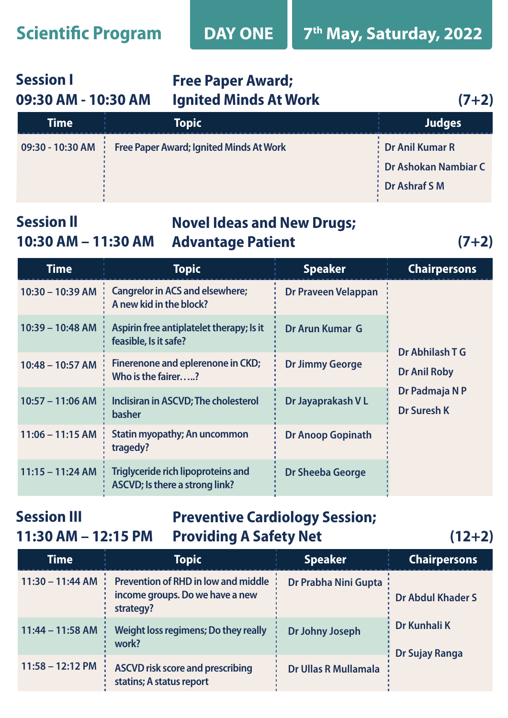### **Scientific Program**

#### **09:30 AM - 10:30 AM Session I Free Paper Award;**

**Ignited Minds At Work (7+2)**

| <b>Time</b>      | Topic                                          | <b>Judges</b>               |
|------------------|------------------------------------------------|-----------------------------|
| 09:30 - 10:30 AM | <b>Free Paper Award; Ignited Minds At Work</b> | <b>Dr Anil Kumar R</b>      |
|                  |                                                | Dr Ashokan Nambiar C        |
|                  |                                                | $\frac{1}{2}$ Dr Ashraf S M |
|                  |                                                |                             |

#### **10:30 AM – 11:30 AM Session ll Novel Ideas and New Drugs; Advantage Patient (7+2)**

| <b>Time</b>        | <b>Topic</b>                                                         | <b>Speaker</b>             | <b>Chairpersons</b>                                                     |
|--------------------|----------------------------------------------------------------------|----------------------------|-------------------------------------------------------------------------|
| $10:30 - 10:39$ AM | <b>Cangrelor in ACS and elsewhere;</b><br>A new kid in the block?    | <b>Dr Praveen Velappan</b> | Dr Abhilash T G<br><b>Dr Anil Roby</b><br>Dr Padmaja N P<br>Dr Suresh K |
| $10:39 - 10:48$ AM | Aspirin free antiplatelet therapy; Is it<br>feasible, Is it safe?    | Dr Arun Kumar G            |                                                                         |
| $10:48 - 10:57$ AM | Finerenone and eplerenone in CKD;<br>Who is the fairer?              | <b>Dr Jimmy George</b>     |                                                                         |
| $10:57 - 11:06$ AM | Inclisiran in ASCVD: The cholesterol<br>basher                       | Dr Jayaprakash VL          |                                                                         |
| $11:06 - 11:15$ AM | Statin myopathy; An uncommon<br>tragedy?                             | <b>Dr Anoop Gopinath</b>   |                                                                         |
| $11:15 - 11:24$ AM | Triglyceride rich lipoproteins and<br>ASCVD; Is there a strong link? | Dr Sheeba George           |                                                                         |

# **11:30 AM – 12:15 PM**

#### **Session III Preventive Cardiology Session; Providing A Safety Net (12+2)**

| Time               | <b>Topic</b>                                                                                 | <b>Speaker</b>       | <b>Chairpersons</b>            |
|--------------------|----------------------------------------------------------------------------------------------|----------------------|--------------------------------|
| $11:30 - 11:44$ AM | <b>Prevention of RHD in low and middle</b> :<br>income groups. Do we have a new<br>strategy? | Dr Prabha Nini Gupta | Dr Abdul Khader S              |
| $11:44 - 11:58$ AM | Weight loss regimens; Do they really<br>work?                                                | Dr Johny Joseph      | Dr Kunhali K<br>Dr Sujay Ranga |
| $11:58 - 12:12$ PM | <b>ASCVD risk score and prescribing</b><br>statins; A status report                          | Dr Ullas R Mullamala |                                |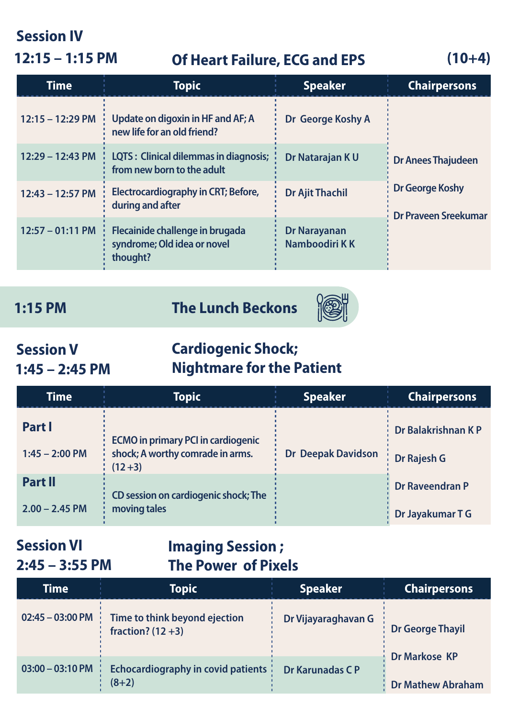### **12:15 – 1:15 PM Session IV**

#### **Of Heart Failure, ECG and EPS**

**(10+4)**

| <b>Time</b>                | <b>Topic</b>                                                               | <b>Speaker</b>                       | <b>Chairpersons</b>                            |
|----------------------------|----------------------------------------------------------------------------|--------------------------------------|------------------------------------------------|
| $12:15 - 12:29$ PM         | Update on digoxin in HF and AF; A<br>new life for an old friend?           | Dr George Koshy A                    |                                                |
| $12:29 - 12:43 \text{ PM}$ | LQTS : Clinical dilemmas in diagnosis;<br>from new born to the adult       | Dr Natarajan KU                      | <b>Dr Anees Thajudeen</b>                      |
| $12:43 - 12:57 \text{ PM}$ | Electrocardiography in CRT; Before,<br>during and after                    | <b>Dr Ajit Thachil</b>               | Dr George Koshy<br><b>Dr Praveen Sreekumar</b> |
| $12:57 - 01:11$ PM         | Flecainide challenge in brugada<br>syndrome; Old idea or novel<br>thought? | <b>Dr Narayanan</b><br>Namboodiri KK |                                                |

**1:15 PM The Lunch Beckons**



#### **1:45 – 2:45 PM Session V**

#### **Cardiogenic Shock; Nightmare for the Patient**

| <b>Time</b>                 | <b>Topic</b>                                                                              | <b>Speaker</b>            | <b>Chairpersons</b>                              |
|-----------------------------|-------------------------------------------------------------------------------------------|---------------------------|--------------------------------------------------|
| Part I<br>$1:45 - 2:00$ PM  | <b>ECMO</b> in primary PCI in cardiogenic<br>shock; A worthy comrade in arms.<br>$(12+3)$ | <b>Dr Deepak Davidson</b> | <b>Dr Balakrishnan K P</b><br><b>Dr Rajesh G</b> |
| Part II<br>$2.00 - 2.45$ PM | CD session on cardiogenic shock; The<br>moving tales                                      |                           | <b>Dr Raveendran P</b><br>Dr Jayakumar T G       |

## **2:45 – 3:55 PM**

#### **Session VI Imaging Session ; The Power of Pixels**

| <b>Time</b>                | <b>Topic</b>                                          | <b>Speaker</b>      | <b>Chairpersons</b>                       |
|----------------------------|-------------------------------------------------------|---------------------|-------------------------------------------|
| $02:45 - 03:00$ PM         | Time to think beyond ejection<br>fraction? $(12+3)$   | Dr Vijayaraghavan G | : Dr George Thayil                        |
| $03:00 - 03:10 \text{ PM}$ | <b>Echocardiography in covid patients:</b><br>$(8+2)$ | Dr Karunadas CP     | Dr Markose KP<br><b>Dr Mathew Abraham</b> |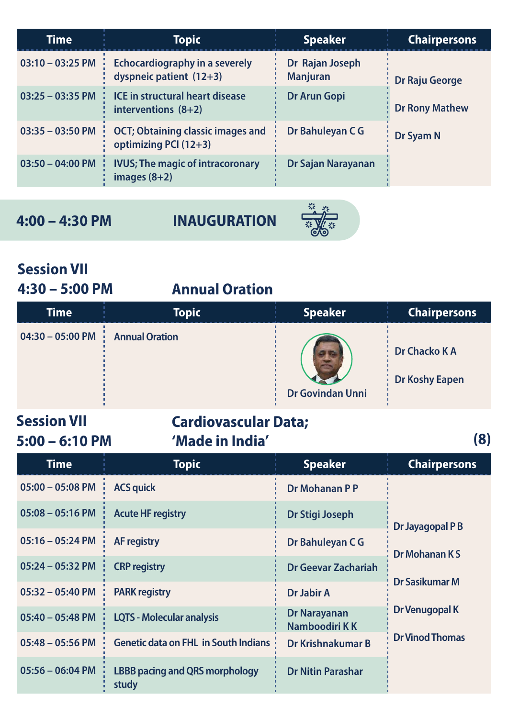| <b>Time</b>        | <b>Topic</b>                                                      | <b>Speaker</b>                     | <b>Chairpersons</b>   |
|--------------------|-------------------------------------------------------------------|------------------------------------|-----------------------|
| $03:10 - 03:25$ PM | Echocardiography in a severely<br>dyspneic patient (12+3)         | Dr Rajan Joseph<br><b>Manjuran</b> | <b>Dr Raju George</b> |
| $03:25 - 03:35$ PM | <b>ICE</b> in structural heart disease<br>interventions $(8+2)$   | Dr Arun Gopi                       | <b>Dr Rony Mathew</b> |
| $03:35 - 03:50$ PM | <b>OCT; Obtaining classic images and</b><br>optimizing PCI (12+3) | Dr Bahuleyan C G                   | Dr Syam N             |
| $03:50 - 04:00$ PM | <b>IVUS</b> ; The magic of intracoronary<br>images $(8+2)$        | Dr Sajan Narayanan                 |                       |

**4:00 – 4:30 PM INAUGURATION**



#### **4:30 – 5:00 PM Session VII**

#### **Annual Oration**

| Time               | Topic                 | <b>Speaker</b>          | <b>Chairpersons</b>                           |
|--------------------|-----------------------|-------------------------|-----------------------------------------------|
| $04:30 - 05:00$ PM | <b>Annual Oration</b> | <b>Dr Govindan Unni</b> | $\frac{1}{2}$ Dr Chacko K A<br>Dr Koshy Eapen |

# **5:00 – 6:10 PM**

#### **Session VII Cardiovascular Data; 'Made in India'**

**(8)**

| Time                       | <b>Topic</b>                                | <b>Speaker</b>                       | <b>Chairpersons</b>    |
|----------------------------|---------------------------------------------|--------------------------------------|------------------------|
| $05:00 - 05:08$ PM         | <b>ACS quick</b>                            | Dr Mohanan P P                       |                        |
| $05:08 - 05:16$ PM         | <b>Acute HF registry</b>                    | Dr Stigi Joseph                      | Dr Jayagopal P B       |
| $05:16 - 05:24 \text{ PM}$ | <b>AF</b> registry                          | Dr Bahuleyan C G                     |                        |
| $05:24 - 05:32$ PM         | <b>CRP</b> registry                         | Dr Geevar Zachariah                  | Dr Mohanan K S         |
| $05:32 - 05:40 \text{ PM}$ | <b>PARK registry</b>                        | Dr Jabir A                           | Dr Sasikumar M         |
| $05:40 - 05:48 \text{ PM}$ | <b>LQTS - Molecular analysis</b>            | <b>Dr Narayanan</b><br>Namboodiri KK | Dr Venugopal K         |
| $05:48 - 05:56$ PM         | <b>Genetic data on FHL in South Indians</b> | Dr Krishnakumar B                    | <b>Dr Vinod Thomas</b> |
| $05:56 - 06:04$ PM         | LBBB pacing and QRS morphology<br>study     | <b>Dr Nitin Parashar</b>             |                        |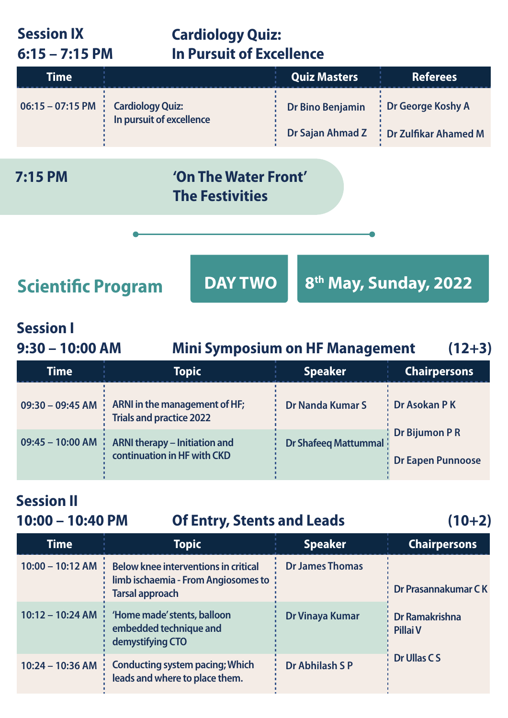| <b>Session IX</b><br>$6:15 - 7:15$ PM                            | <b>Cardiology Quiz:</b><br><b>In Pursuit of Excellence</b> |                                      |                                                  |  |
|------------------------------------------------------------------|------------------------------------------------------------|--------------------------------------|--------------------------------------------------|--|
| Time                                                             |                                                            | <b>Quiz Masters</b>                  | <b>Referees</b>                                  |  |
| $06:15 - 07:15$ PM                                               | <b>Cardiology Quiz:</b><br>In pursuit of excellence        | Dr Bino Benjamin<br>Dr Sajan Ahmad Z | Dr George Koshy A<br><b>Dr Zulfikar Ahamed M</b> |  |
| 'On The Water Front'<br><b>7:15 PM</b><br><b>The Festivities</b> |                                                            |                                      |                                                  |  |
|                                                                  |                                                            |                                      |                                                  |  |
| <b>Scientific Program</b>                                        | <b>DAY TWO</b>                                             |                                      | 8 <sup>th</sup> May, Sunday, 2022                |  |
| <b>Coccion I</b>                                                 |                                                            |                                      |                                                  |  |

#### **9:30 – 10:00 AM Session I**

| $9:30 - 10:00$ AM  |                                                              | <b>Mini Symposium on HF Management</b> |                                            |
|--------------------|--------------------------------------------------------------|----------------------------------------|--------------------------------------------|
| Time               | <b>Topic</b>                                                 | <b>Speaker</b>                         | <b>Chairpersons</b>                        |
| $09:30 - 09:45$ AM | ARNI in the management of HF;<br>: Trials and practice 2022  | <b>Dr Nanda Kumar S</b>                | $\frac{1}{2}$ Dr Asokan P K                |
| $09:45 - 10:00$ AM | ARNI therapy - Initiation and<br>continuation in HF with CKD | <b>Dr Shafeeq Mattummal</b>            | Dr Bijumon P R<br><b>Dr Eapen Punnoose</b> |

### **10:00 – 10:40 PM Session II**

#### **Of Entry, Stents and Leads (10+2)**

| <b>Time</b>              | Topic                                                                                                         | <b>Speaker</b>         | <b>Chairpersons</b>        |
|--------------------------|---------------------------------------------------------------------------------------------------------------|------------------------|----------------------------|
| $10:00 - 10:12$ AM :     | <b>Below knee interventions in critical</b><br>limb ischaemia - From Angiosomes to:<br><b>Tarsal approach</b> | <b>Dr James Thomas</b> | Dr Prasannakumar CK        |
| $10:12 - 10:24$ AM $\pm$ | 'Home made' stents, balloon<br>embedded technique and<br>demystifying CTO                                     | Dr Vinaya Kumar        | Dr Ramakrishna<br>Pillai V |
|                          | 10:24 – 10:36 AM : Conducting system pacing; Which<br>leads and where to place them.                          | Dr Abhilash SP         | Dr Ullas C S               |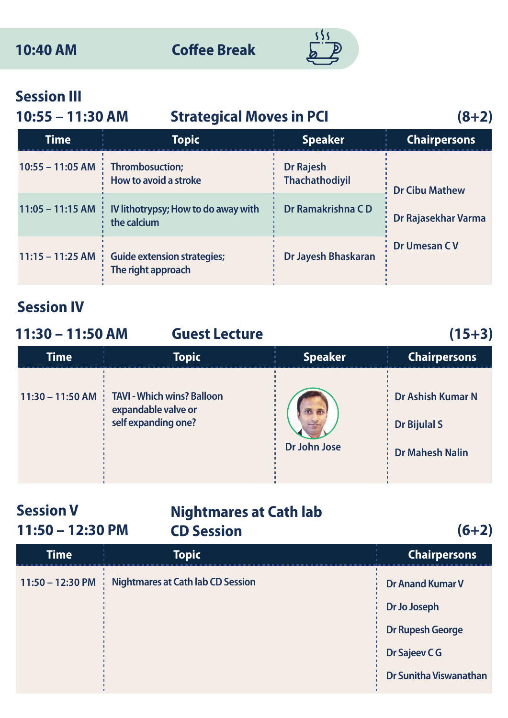**10:40 AM Coffee Break**



### **Session III**

| $10:55 - 11:30$ AM                 |                                                                            | <b>Strategical Moves in PCI</b>    |                       |
|------------------------------------|----------------------------------------------------------------------------|------------------------------------|-----------------------|
| <b>Time</b>                        | <b>Topic</b>                                                               | <b>Speaker</b>                     | <b>Chairpersons</b>   |
| 10:55 - 11:05 AM : Thrombosuction; | How to avoid a stroke                                                      | Dr Rajesh<br><b>Thachathodiyil</b> | <b>Dr Cibu Mathew</b> |
| $11:05 - 11:15$ AM :               | IV lithotrypsy; How to do away with<br>the calcium                         | Dr Ramakrishna CD                  | Dr Rajasekhar Varma   |
|                                    | 11:15 - 11:25 AM $\cdot$ Guide extension strategies;<br>The right approach | Dr Jayesh Bhaskaran                | Dr Umesan CV          |

#### **Session IV**

| 11:30 - 11:50 AM   | <b>Guest Lecture</b>                                                            |                     | $(15+3)$                                                           |  |
|--------------------|---------------------------------------------------------------------------------|---------------------|--------------------------------------------------------------------|--|
| <b>Time</b>        | Topic                                                                           | <b>Speaker</b>      | <b>Chairpersons</b>                                                |  |
| $11:30 - 11:50$ AM | <b>TAVI - Which wins? Balloon</b><br>expandable valve or<br>self expanding one? | <b>Dr John Jose</b> | Dr Ashish Kumar N<br><b>Dr Bijulal S</b><br><b>Dr Mahesh Nalin</b> |  |

| <b>Session V</b><br>$11:50 - 12:30$ PM | <b>Nightmares at Cath lab</b><br><b>CD Session</b> | $(6+2)$                 |
|----------------------------------------|----------------------------------------------------|-------------------------|
| <b>Time</b>                            | <b>Topic</b>                                       | <b>Chairpersons</b>     |
| $11:50 - 12:30 \text{ PM}$             | <b>Nightmares at Cath lab CD Session</b>           | Dr Anand Kumar V        |
|                                        |                                                    | Dr Jo Joseph            |
|                                        |                                                    | <b>Dr Rupesh George</b> |
|                                        |                                                    | Dr Sajeev CG            |
|                                        |                                                    | Dr Sunitha Viswanathan  |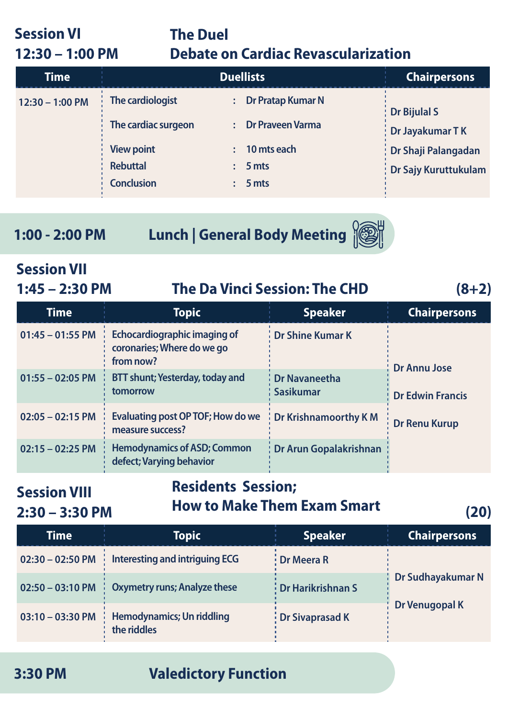#### **Session VI The Duel Debate on Cardiac Revascularization**

| Time              | <b>Duellists</b>                                                         |                                                                                                        | <b>Chairpersons</b>                                                                           |
|-------------------|--------------------------------------------------------------------------|--------------------------------------------------------------------------------------------------------|-----------------------------------------------------------------------------------------------|
| $12:30 - 1:00$ PM | The cardiologist<br>The cardiac surgeon<br><b>View point</b><br>Rebuttal | Dr Pratap Kumar N<br>$\ddot{\phantom{a}}$<br>: Dr Praveen Varma<br>10 mts each<br>$\sim$<br>5 mts<br>٠ | $\frac{1}{2}$ Dr Bijulal S<br>Dr Jayakumar T K<br>Dr Shaji Palangadan<br>Dr Sajy Kuruttukulam |
|                   | <b>Conclusion</b>                                                        | 5 mts                                                                                                  |                                                                                               |

**12:30 – 1:00 PM**

**1:00 - 2:00 PM Lunch | General Body Meeting**



#### **1:45 – 2:30 PM Session VII**

#### **The Da Vinci Session: The CHD (8+2)**

| <b>Time</b>                | <b>Topic</b>                                                            | <b>Speaker</b>                 | <b>Chairpersons</b>     |  |
|----------------------------|-------------------------------------------------------------------------|--------------------------------|-------------------------|--|
| $01:45 - 01:55$ PM         | Echocardiographic imaging of<br>coronaries; Where do we go<br>from now? | Dr Shine Kumar K               | Dr Annu Jose            |  |
| $01:55 - 02:05$ PM         | BTT shunt; Yesterday, today and<br>tomorrow                             | : Dr Navaneetha<br>: Sasikumar | <b>Dr Edwin Francis</b> |  |
| $02:05 - 02:15 \text{ PM}$ | Evaluating post OP TOF; How do we<br>measure success?                   | <b>Dr Krishnamoorthy K M</b>   | Dr Renu Kurup           |  |
| $02:15 - 02:25$ PM         | <b>Hemodynamics of ASD; Common</b><br>defect; Varying behavior          | : Dr Arun Gopalakrishnan       |                         |  |

# **2:30 – 3:30 PM**

### **Session VIII Residents Session; How to Make Them Exam Smart (20)**

| Time               | Topic                                    | <b>Speaker</b>          | <b>Chairpersons</b> |  |
|--------------------|------------------------------------------|-------------------------|---------------------|--|
| $02:30 - 02:50$ PM | <b>Interesting and intriguing ECG</b>    | <sup>i</sup> Dr Meera R |                     |  |
| $02:50 - 03:10$ PM | <b>Oxymetry runs; Analyze these</b>      | Dr Harikrishnan S       | Dr Sudhayakumar N   |  |
| $03:10 - 03:30$ PM | Hemodynamics; Un riddling<br>the riddles | Dr Sivaprasad K         | Dr Venugopal K      |  |

#### **3:30 PM Valedictory Function**